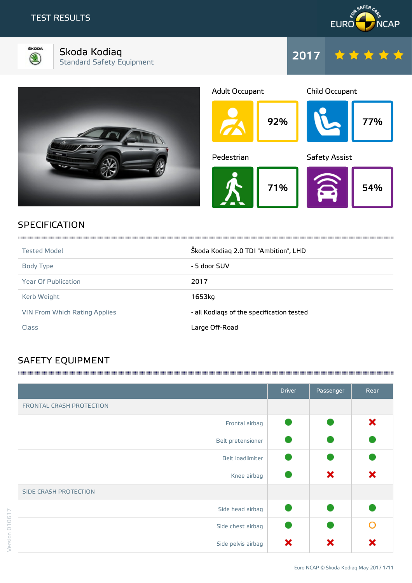



Skoda Kodiaq Standard Safety Equipment



|             | Adult Occupant |     | Child Occupant |     |
|-------------|----------------|-----|----------------|-----|
| <b>Clay</b> |                | 92% |                | 77% |
|             | Pedestrian     |     | Safety Assist  |     |
|             |                | 71% |                | 54% |

## **SPECIFICATION**

| <b>Tested Model</b>           | Škoda Kodiag 2.0 TDI "Ambition", LHD      |
|-------------------------------|-------------------------------------------|
| Body Type                     | - 5 door SUV                              |
| <b>Year Of Publication</b>    | 2017                                      |
| Kerb Weight                   | 1653ka                                    |
| VIN From Which Rating Applies | - all Kodiags of the specification tested |
| Class                         | Large Off-Road                            |

## SAFETY EQUIPMENT

|                              | <b>Driver</b> | Passenger | <b>Rear</b> |
|------------------------------|---------------|-----------|-------------|
| FRONTAL CRASH PROTECTION     |               |           |             |
| Frontal airbag               |               |           | ×           |
| Belt pretensioner            |               |           |             |
| Belt loadlimiter             |               |           |             |
| Knee airbag                  |               | ×         | ×           |
| <b>SIDE CRASH PROTECTION</b> |               |           |             |
| Side head airbag             |               |           |             |
| Side chest airbag            |               |           | ∩           |
| Side pelvis airbag           | ×             | x         |             |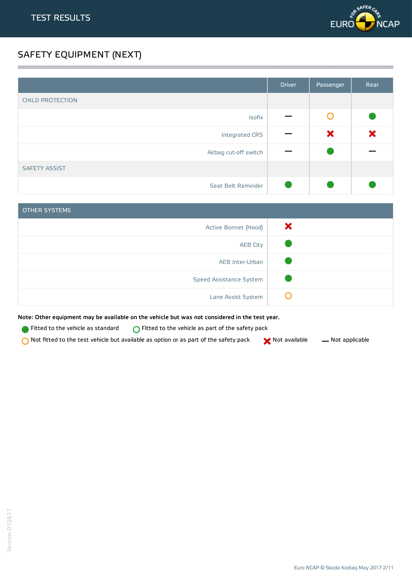

## SAFETY EQUIPMENT (NEXT)

|                         | <b>Driver</b> | Passenger | Rear |
|-------------------------|---------------|-----------|------|
| <b>CHILD PROTECTION</b> |               |           |      |
| Isofix                  |               | Ő         |      |
| Integrated CRS          |               | ×         | ×    |
| Airbag cut-off switch   |               |           |      |
| <b>SAFETY ASSIST</b>    |               |           |      |
| Seat Belt Reminder      |               |           |      |

<u> 1989 - Andrea Stadt Stadt Stadt Stadt Stadt Stadt Stadt Stadt Stadt Stadt Stadt Stadt Stadt Stadt Stadt Stadt Stadt Stadt Stadt Stadt Stadt Stadt Stadt Stadt Stadt Stadt Stadt Stadt Stadt Stadt Stadt Stadt Stadt Stadt St</u>

| <b>OTHER SYSTEMS</b>    |   |
|-------------------------|---|
| Active Bonnet (Hood)    | × |
| <b>AEB City</b>         |   |
| AEB Inter-Urban         |   |
| Speed Assistance System |   |
| Lane Assist System      |   |

Note: Other equipment may be available on the vehicle but was not considered in the test year.

- **Fitted to the vehicle as standard**  $\bigcirc$  Fitted to the vehicle as part of the safety pack
- Not fitted to the test vehicle but available as option or as part of the safety pack  $\bigtimes$  Not available  $\qquad$  Not applicable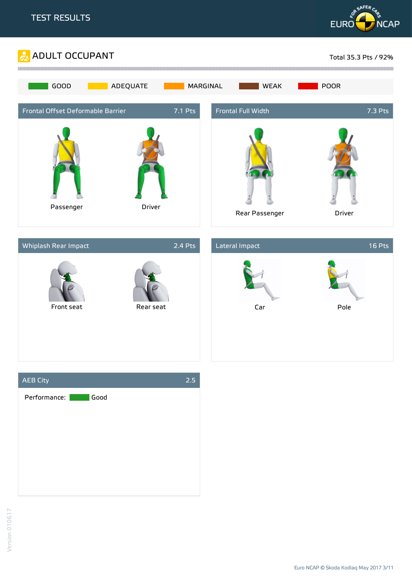





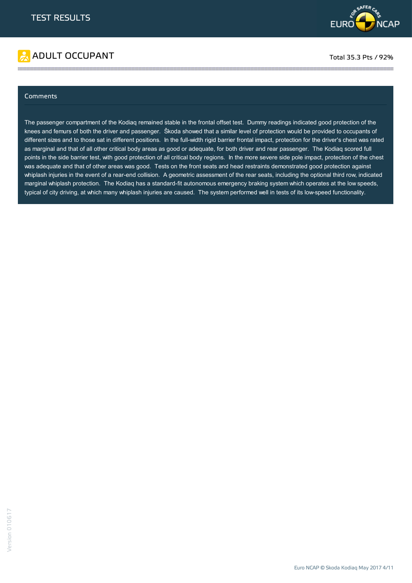

# ADULT OCCUPANT TO A RESERVE TO A RESERVE TO A RESERVE TOTAL 35.3 Pts / 92%

### Comments

The passenger compartment of the Kodiaq remained stable in the frontal offset test. Dummy readings indicated good protection of the knees and femurs of both the driver and passenger. Škoda showed that a similar level of protection would be provided to occupants of different sizes and to those sat in different positions. In the full-width rigid barrier frontal impact, protection for the driver's chest was rated as marginal and that of all other critical body areas as good or adequate, for both driver and rear passenger. The Kodiaq scored full points in the side barrier test, with good protection of all critical body regions. In the more severe side pole impact, protection of the chest was adequate and that of other areas was good. Tests on the front seats and head restraints demonstrated good protection against whiplash injuries in the event of a rear-end collision. A geometric assessment of the rear seats, including the optional third row, indicated marginal whiplash protection. The Kodiaq has a standard-fit autonomous emergency braking system which operates at the low speeds, typical of city driving, at which many whiplash injuries are caused. The system performed well in tests of its low-speed functionality.

the contract of the contract of the contract of the contract of the contract of the contract of the contract of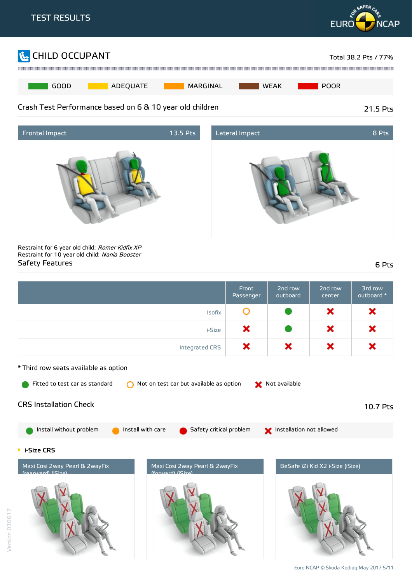





Restraint for 6 year old child: Römer Kidfix XP Restraint for 10 year old child: Nania Booster Safety Features 6 Pts

|                                                                             | Front<br>Passenger | 2nd row<br>outboard | 2nd row<br>center | 3rd row<br>outboard * |
|-----------------------------------------------------------------------------|--------------------|---------------------|-------------------|-----------------------|
| <b>Isofix</b>                                                               | O                  |                     | ×                 | x                     |
| i-Size                                                                      | ×                  |                     | ×                 | x                     |
| Integrated CRS                                                              | ×                  | ×                   | ×                 |                       |
| * Third row seats available as option                                       |                    |                     |                   |                       |
| Fitted to test car as standard<br>◯ Not on test car but available as option |                    | Not available       |                   |                       |





Version 010617

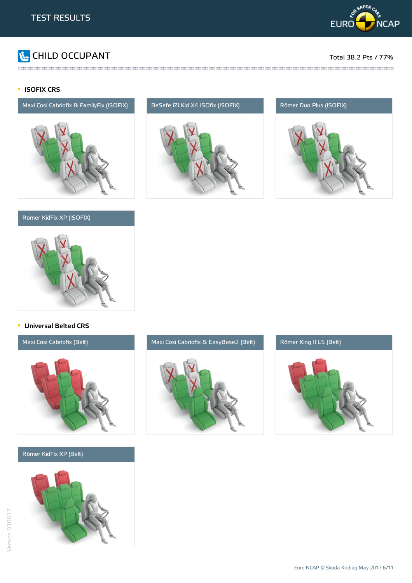

# **The CHILD OCCUPANT** Total 38.2 Pts / 77%

### **ISOFIX CRS**



### Römer KidFix XP (ISOFIX)



the contract of the contract of the contract of the contract of the contract of the contract of the contract of





### **Universal Belted CRS**

Maxi Cosi Cabriofix (Belt) Maxi Cosi Cabriofix & EasyBase2 (Belt) Römer King II LS (Belt)

### Römer KidFix XP (Belt)



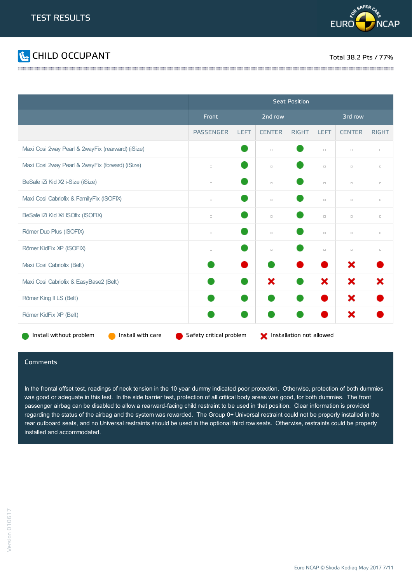



|                                                   |                         |             |               | <b>Seat Position</b>     |             |               |              |
|---------------------------------------------------|-------------------------|-------------|---------------|--------------------------|-------------|---------------|--------------|
|                                                   | Front                   |             | 2nd row       |                          |             | 3rd row       |              |
|                                                   | <b>PASSENGER</b>        | <b>LEFT</b> | <b>CENTER</b> | <b>RIGHT</b>             | <b>LEFT</b> | <b>CENTER</b> | <b>RIGHT</b> |
| Maxi Cosi 2way Pearl & 2wayFix (rearward) (iSize) | $\Box$                  |             | $\Box$        |                          | $\Box$      | $\Box$        | $\Box$       |
| Maxi Cosi 2way Pearl & 2wayFix (forward) (iSize)  | $\Box$                  |             | $\Box$        |                          | $\Box$      | $\Box$        | $\Box$       |
| BeSafe iZi Kid X2 i-Size (iSize)                  | $\Box$                  |             | $\Box$        |                          | $\Box$      | $\Box$        | $\Box$       |
| Maxi Cosi Cabriofix & FamilyFix (ISOFIX)          | $\Box$                  |             | $\Box$        |                          | $\Box$      | $\Box$        | $\Box$       |
| BeSafe iZi Kid X4 ISOfix (ISOFIX)                 | $\Box$                  |             | $\Box$        |                          | $\Box$      | $\Box$        | $\Box$       |
| Römer Duo Plus (ISOFIX)                           | $\Box$                  |             | $\Box$        |                          | $\Box$      | $\Box$        | $\Box$       |
| Römer KidFix XP (ISOFIX)                          | $\Box$                  |             | $\Box$        |                          | $\Box$      | $\Box$        | $\Box$       |
| Maxi Cosi Cabriofix (Belt)                        |                         |             |               |                          |             | ×             |              |
| Maxi Cosi Cabriofix & EasyBase2 (Belt)            |                         |             | ×             |                          | ×           | ×             | x            |
| Römer King II LS (Belt)                           |                         |             |               |                          |             | ×             |              |
| Römer KidFix XP (Belt)                            |                         |             |               |                          |             | ×             |              |
| Install without problem<br>Install with care      | Safety critical problem |             |               | Installation not allowed |             |               |              |

### Comments

In the frontal offset test, readings of neck tension in the 10 year dummy indicated poor protection. Otherwise, protection of both dummies was good or adequate in this test. In the side barrier test, protection of all critical body areas was good, for both dummies. The front passenger airbag can be disabled to allow a rearward-facing child restraint to be used in that position. Clear information is provided regarding the status of the airbag and the system was rewarded. The Group 0+ Universal restraint could not be properly installed in the rear outboard seats, and no Universal restraints should be used in the optional third row seats. Otherwise, restraints could be properly installed and accommodated.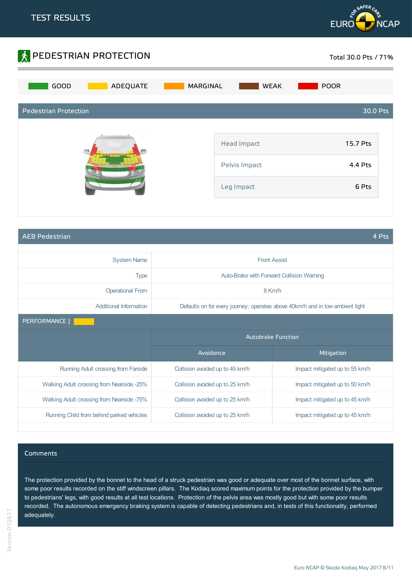



AEB Pedestrian 4 Pts

| <b>System Name</b>                        | <b>Front Assist</b>                       |                                                                               |  |
|-------------------------------------------|-------------------------------------------|-------------------------------------------------------------------------------|--|
| <b>Type</b>                               | Auto-Brake with Forward Collision Warning |                                                                               |  |
| <b>Operational From</b>                   | 8 Km/h                                    |                                                                               |  |
| Additional Information                    |                                           | Defaults on for every journey; operates above 40km/h and in low ambient light |  |
| PERFORMANCE                               |                                           |                                                                               |  |
|                                           | <b>Autobrake Function</b>                 |                                                                               |  |
|                                           | Avoidance                                 | <b>Mitigation</b>                                                             |  |
| Running Adult crossing from Farside       | Collision avoided up to 45 km/h           | Impact mitigated up to 55 km/h                                                |  |
| Walking Adult crossing from Nearside -25% | Collision avoided up to 25 km/h           | Impact mitigated up to 50 km/h                                                |  |
| Walking Adult crossing from Nearside -75% | Collision avoided up to 25 km/h           | Impact mitigated up to 45 km/h                                                |  |
|                                           |                                           |                                                                               |  |

### Comments

The protection provided by the bonnet to the head of a struck pedestrian was good or adequate over most of the bonnet surface, with some poor results recorded on the stiff windscreen pillars. The Kodiaq scored maximum points for the protection provided by the bumper to pedestrians' legs, with good results at all test locations. Protection of the pelvis area was mostly good but with some poor results recorded. The autonomous emergency braking system is capable of detecting pedestrians and, in tests of this functionality, performed adequately.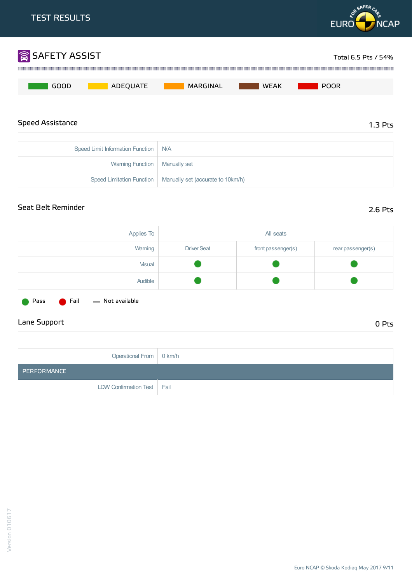

## Seat Belt Reminder 2.6 Pts

| Applies To                                                |                    | All seats          |                   |
|-----------------------------------------------------------|--------------------|--------------------|-------------------|
| Warning                                                   | <b>Driver Seat</b> | front passenger(s) | rear passenger(s) |
| Visual                                                    |                    |                    |                   |
| Audible                                                   |                    |                    |                   |
| Not available<br>Fail<br>Pass<br>$\overline{\phantom{m}}$ |                    |                    |                   |

## Lane Support 0 Pts

| Operational From   0 km/h    |  |
|------------------------------|--|
| <b>PERFORMANCE</b>           |  |
| LDW Confirmation Test   Fail |  |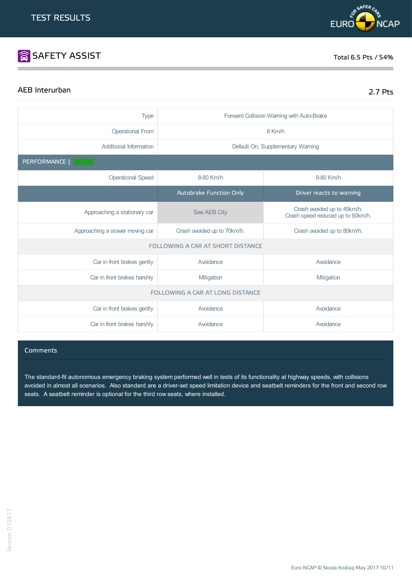# **SAFETY ASSIST** Total 6.5 Pts / 54%

## AEB Interurban 2.7 Pts

| <b>Type</b>                      | Forward Collision Warning with Auto-Brake                  |                                                                  |  |  |
|----------------------------------|------------------------------------------------------------|------------------------------------------------------------------|--|--|
| <b>Operational From</b>          | 8 Km/h                                                     |                                                                  |  |  |
| Additional Information           |                                                            | Default On; Supplementary Warning                                |  |  |
|                                  |                                                            |                                                                  |  |  |
| PERFORMANCE                      |                                                            |                                                                  |  |  |
| <b>Operational Speed</b>         | 8-80 Km/h                                                  | 8-80 Km/h                                                        |  |  |
|                                  | Autobrake Function Only                                    | Driver reacts to warning                                         |  |  |
| Approaching a stationary car     | See AEB City                                               | Crash avoided up to 45km/h.<br>Crash speed reduced up to 60km/h. |  |  |
| Approaching a slower moving car  | Crash avoided up to 70km/h.<br>Crash avoided up to 80km/h. |                                                                  |  |  |
|                                  | FOLLOWING A CAR AT SHORT DISTANCE                          |                                                                  |  |  |
| Car in front brakes gently       | Avoidance                                                  | Avoidance                                                        |  |  |
| Car in front brakes harshly      | Mitigation                                                 | Mitigation                                                       |  |  |
| FOLLOWING A CAR AT LONG DISTANCE |                                                            |                                                                  |  |  |
| Car in front brakes gently       | Avoidance                                                  | Avoidance                                                        |  |  |
| Car in front brakes harshly      | Avoidance                                                  | Avoidance                                                        |  |  |

the contract of the contract of the contract of the contract of the contract of the contract of the contract of

### Comments

The standard-fit autonomous emergency braking system performed well in tests of its functionality at highway speeds, with collisions avoided in almost all scenarios. Also standard are a driver-set speed limitation device and seatbelt reminders for the front and second row seats. A seatbelt reminder is optional for the third row seats, where installed.

Euro NCAP © Skoda Kodiag May 2017 10/11